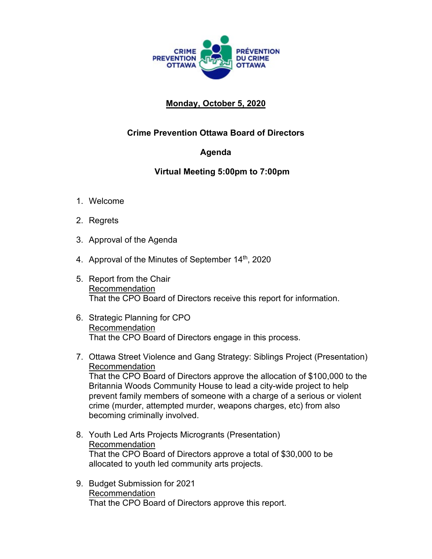

## **Monday, October 5, 2020**

## **Crime Prevention Ottawa Board of Directors**

## **Agenda**

## **Virtual Meeting 5:00pm to 7:00pm**

- 1. Welcome
- 2. Regrets
- 3. Approval of the Agenda
- 4. Approval of the Minutes of September 14<sup>th</sup>, 2020
- 5. Report from the Chair Recommendation That the CPO Board of Directors receive this report for information.
- 6. Strategic Planning for CPO Recommendation That the CPO Board of Directors engage in this process.
- 7. Ottawa Street Violence and Gang Strategy: Siblings Project (Presentation) Recommendation That the CPO Board of Directors approve the allocation of \$100,000 to the Britannia Woods Community House to lead a city-wide project to help prevent family members of someone with a charge of a serious or violent crime (murder, attempted murder, weapons charges, etc) from also becoming criminally involved.
- 8. Youth Led Arts Projects Microgrants (Presentation) Recommendation That the CPO Board of Directors approve a total of \$30,000 to be allocated to youth led community arts projects.
- 9. Budget Submission for 2021 Recommendation That the CPO Board of Directors approve this report.